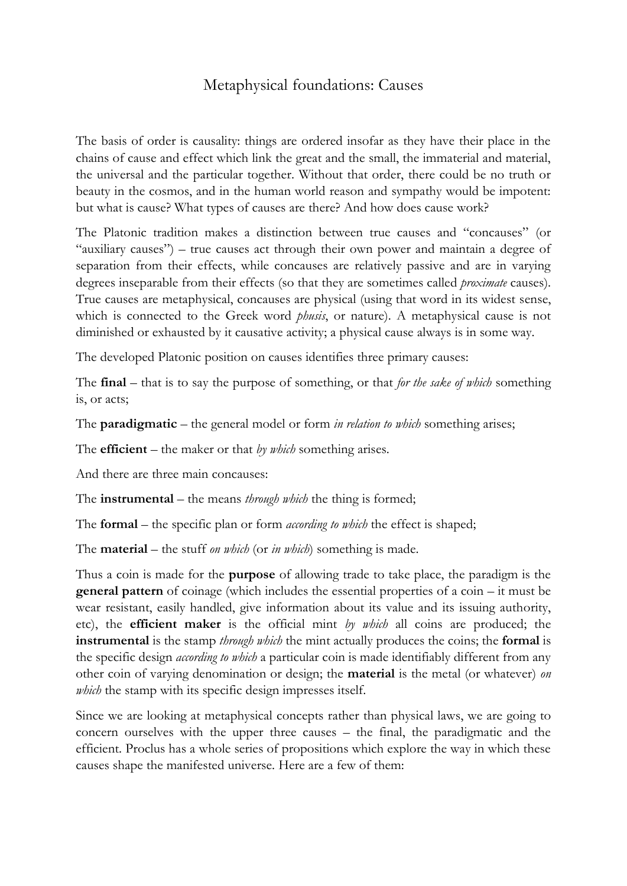# Metaphysical foundations: Causes

The basis of order is causality: things are ordered insofar as they have their place in the chains of cause and effect which link the great and the small, the immaterial and material, the universal and the particular together. Without that order, there could be no truth or beauty in the cosmos, and in the human world reason and sympathy would be impotent: but what is cause? What types of causes are there? And how does cause work?

The Platonic tradition makes a distinction between true causes and "concauses" (or "auxiliary causes") – true causes act through their own power and maintain a degree of separation from their effects, while concauses are relatively passive and are in varying degrees inseparable from their effects (so that they are sometimes called *proximate* causes). True causes are metaphysical, concauses are physical (using that word in its widest sense, which is connected to the Greek word *phusis*, or nature). A metaphysical cause is not diminished or exhausted by it causative activity; a physical cause always is in some way.

The developed Platonic position on causes identifies three primary causes:

The **final** – that is to say the purpose of something, or that *for the sake of which* something is, or acts;

The **paradigmatic** – the general model or form *in relation to which* something arises;

The **efficient** – the maker or that *by which* something arises.

And there are three main concauses:

The **instrumental** – the means *through which* the thing is formed;

The **formal** – the specific plan or form *according to which* the effect is shaped;

The **material** – the stuff *on which* (or *in which*) something is made.

Thus a coin is made for the **purpose** of allowing trade to take place, the paradigm is the **general pattern** of coinage (which includes the essential properties of a coin – it must be wear resistant, easily handled, give information about its value and its issuing authority, etc), the **efficient maker** is the official mint *by which* all coins are produced; the **instrumental** is the stamp *through which* the mint actually produces the coins; the **formal** is the specific design *according to which* a particular coin is made identifiably different from any other coin of varying denomination or design; the **material** is the metal (or whatever) *on which* the stamp with its specific design impresses itself.

Since we are looking at metaphysical concepts rather than physical laws, we are going to concern ourselves with the upper three causes – the final, the paradigmatic and the efficient. Proclus has a whole series of propositions which explore the way in which these causes shape the manifested universe. Here are a few of them: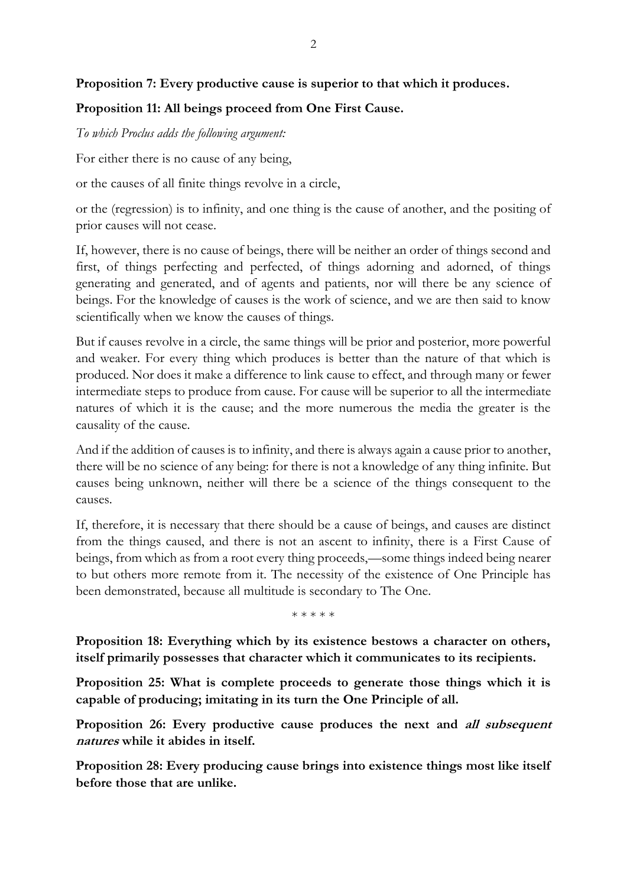## **Proposition 7: Every productive cause is superior to that which it produces.**

## **Proposition 11: All beings proceed from One First Cause.**

#### *To which Proclus adds the following argument:*

For either there is no cause of any being,

or the causes of all finite things revolve in a circle,

or the (regression) is to infinity, and one thing is the cause of another, and the positing of prior causes will not cease.

If, however, there is no cause of beings, there will be neither an order of things second and first, of things perfecting and perfected, of things adorning and adorned, of things generating and generated, and of agents and patients, nor will there be any science of beings. For the knowledge of causes is the work of science, and we are then said to know scientifically when we know the causes of things.

But if causes revolve in a circle, the same things will be prior and posterior, more powerful and weaker. For every thing which produces is better than the nature of that which is produced. Nor does it make a difference to link cause to effect, and through many or fewer intermediate steps to produce from cause. For cause will be superior to all the intermediate natures of which it is the cause; and the more numerous the media the greater is the causality of the cause.

And if the addition of causes is to infinity, and there is always again a cause prior to another, there will be no science of any being: for there is not a knowledge of any thing infinite. But causes being unknown, neither will there be a science of the things consequent to the causes.

If, therefore, it is necessary that there should be a cause of beings, and causes are distinct from the things caused, and there is not an ascent to infinity, there is a First Cause of beings, from which as from a root every thing proceeds,—some things indeed being nearer to but others more remote from it. The necessity of the existence of One Principle has been demonstrated, because all multitude is secondary to The One.

\* \* \* \* \*

**Proposition 18: Everything which by its existence bestows a character on others, itself primarily possesses that character which it communicates to its recipients.**

**Proposition 25: What is complete proceeds to generate those things which it is capable of producing; imitating in its turn the One Principle of all.**

**Proposition 26: Every productive cause produces the next and all subsequent natures while it abides in itself.**

**Proposition 28: Every producing cause brings into existence things most like itself before those that are unlike.**